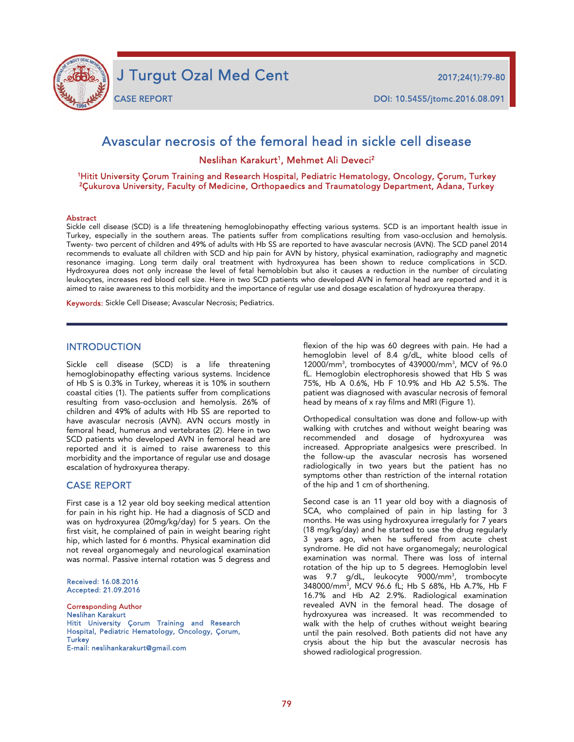

j

**CASE REPORT** 

CASE REPORT DOI: 10.5455/jtomc.2016.08.091

# Avascular necrosis of the femoral head in sickle cell disease

Neslihan Karakurt<sup>1</sup>, Mehmet Ali Deveci<sup>2</sup>

1Hitit University Çorum Training and Research Hospital, Pediatric Hematology, Oncology, Çorum, Turkey 2Çukurova University, Faculty of Medicine, Orthopaedics and Traumatology Department, Adana, Turkey

#### **Abstract**

Sickle cell disease (SCD) is a life threatening hemoglobinopathy effecting various systems. SCD is an important health issue in Turkey, especially in the southern areas. The patients suffer from complications resulting from vaso-occlusion and hemolysis. Twenty- two percent of children and 49% of adults with Hb SS are reported to have avascular necrosis (AVN). The SCD panel 2014 recommends to evaluate all children with SCD and hip pain for AVN by history, physical examination, radiography and magnetic resonance imaging. Long term daily oral treatment with hydroxyurea has been shown to reduce complications in SCD. Hydroxyurea does not only increase the level of fetal hemoblobin but also it causes a reduction in the number of circulating leukocytes, increases red blood cell size. Here in two SCD patients who developed AVN in femoral head are reported and it is aimed to raise awareness to this morbidity and the importance of regular use and dosage escalation of hydroxyurea therapy.

Keywords: Sickle Cell Disease; Avascular Necrosis; Pediatrics.

## INTRODUCTION

Sickle cell disease (SCD) is a life threatening hemoglobinopathy effecting various systems. Incidence of Hb S is 0.3% in Turkey, whereas it is 10% in southern coastal cities (1). The patients suffer from complications resulting from vaso-occlusion and hemolysis. 26% of children and 49% of adults with Hb SS are reported to have avascular necrosis (AVN). AVN occurs mostly in femoral head, humerus and vertebrates (2). Here in two SCD patients who developed AVN in femoral head are reported and it is aimed to raise awareness to this morbidity and the importance of regular use and dosage escalation of hydroxyurea therapy.

### CASE REPORT

First case is a 12 year old boy seeking medical attention for pain in his right hip. He had a diagnosis of SCD and was on hydroxyurea (20mg/kg/day) for 5 years. On the first visit, he complained of pain in weight bearing right hip, which lasted for 6 months. Physical examination did not reveal organomegaly and neurological examination was normal. Passive internal rotation was 5 degress and

Received: 16.08.2016 Accepted: 21.09.2016

Corresponding Author Neslihan Karakurt Hitit University Çorum Training and Research Hospital, Pediatric Hematology, Oncology, Çorum, **Turkey** E-mail: neslihankarakurt@gmail.com

flexion of the hip was 60 degrees with pain. He had a hemoglobin level of 8.4 g/dL, white blood cells of 12000/mm3 , trombocytes of 439000/mm3 , MCV of 96.0 fL. Hemoglobin electrophoresis showed that Hb S was 75%, Hb A 0.6%, Hb F 10.9% and Hb A2 5.5%. The patient was diagnosed with avascular necrosis of femoral head by means of x ray films and MRI (Figure 1).

Orthopedical consultation was done and follow-up with walking with crutches and without weight bearing was recommended and dosage of hydroxyurea was increased. Appropriate analgesics were prescribed. In the follow-up the avascular necrosis has worsened radiologically in two years but the patient has no symptoms other than restriction of the internal rotation of the hip and 1 cm of shorthening.

Second case is an 11 year old boy with a diagnosis of SCA, who complained of pain in hip lasting for 3 months. He was using hydroxyurea irregularly for 7 years (18 mg/kg/day) and he started to use the drug regularly 3 years ago, when he suffered from acute chest syndrome. He did not have organomegaly; neurological examination was normal. There was loss of internal rotation of the hip up to 5 degrees. Hemoglobin level was 9.7 g/dL, leukocyte 9000/mm<sup>3</sup>, trombocyte 348000/mm3 , MCV 96.6 fL; Hb S 68%, Hb A.7%, Hb F 16.7% and Hb A2 2.9%. Radiological examination revealed AVN in the femoral head. The dosage of hydroxyurea was increased. It was recommended to walk with the help of cruthes without weight bearing until the pain resolved. Both patients did not have any crysis about the hip but the avascular necrosis has showed radiological progression.